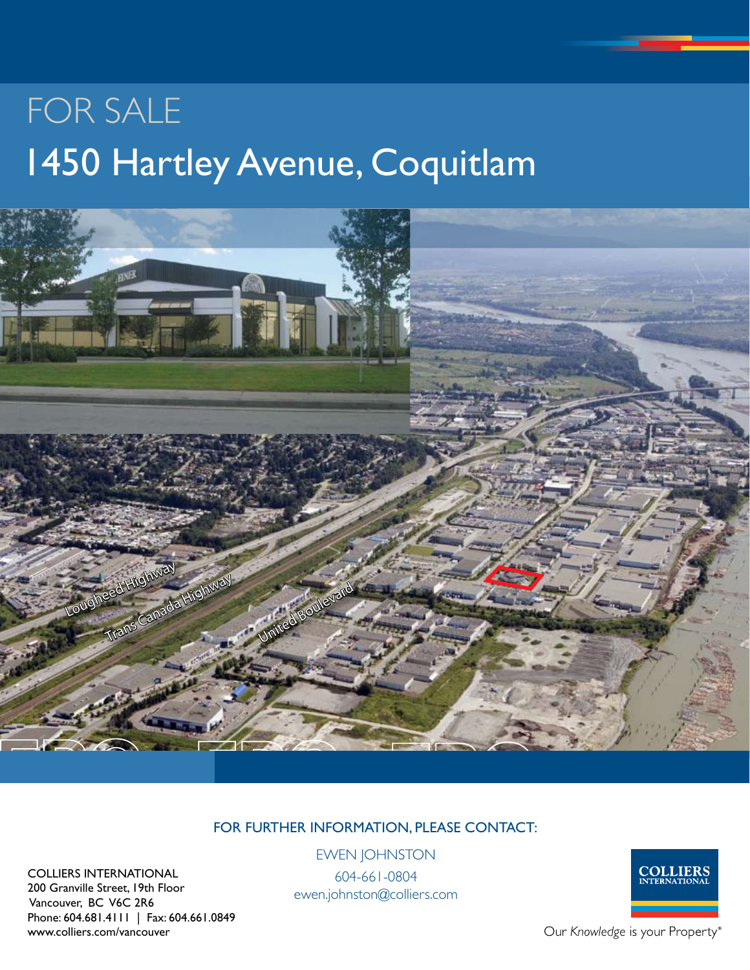# For Sale 1450 Hartley Avenue, Coquitlam



## For Further Information, Please Contact:

COLLIERS INTERNATIONAL 200 Granville Street, 19th Floor Vancouver, BC V6C 2R6 Phone: 604.681.4111 | Fax: 604.661.0849 www.colliers.com/vancouver

Ewen Johnston

604-661-0804 ewen.johnston@colliers.com



Our Knowledge is your Property®